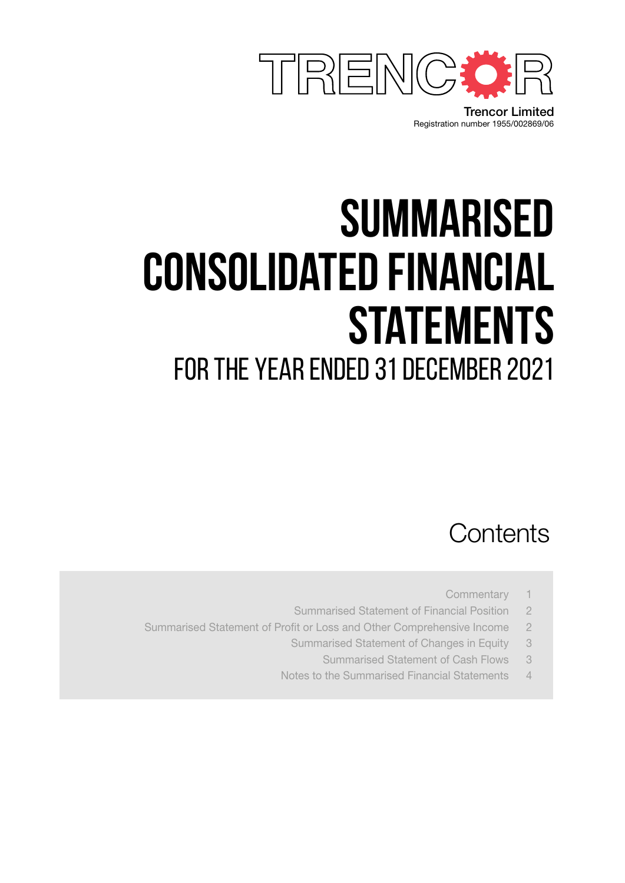

Registration number 1955/002869/06 Trencor Limited

# **summarised consolidated financial statements** for the year ended 31 December 2021

### **Contents**

- Commentary 1
- Summarised Statement of Financial Position 2
- Summarised Statement of Profit or Loss and Other Comprehensive Income 2
	- Summarised Statement of Changes in Equity 3
		- Summarised Statement of Cash Flows 3
	- Notes to the Summarised Financial Statements 4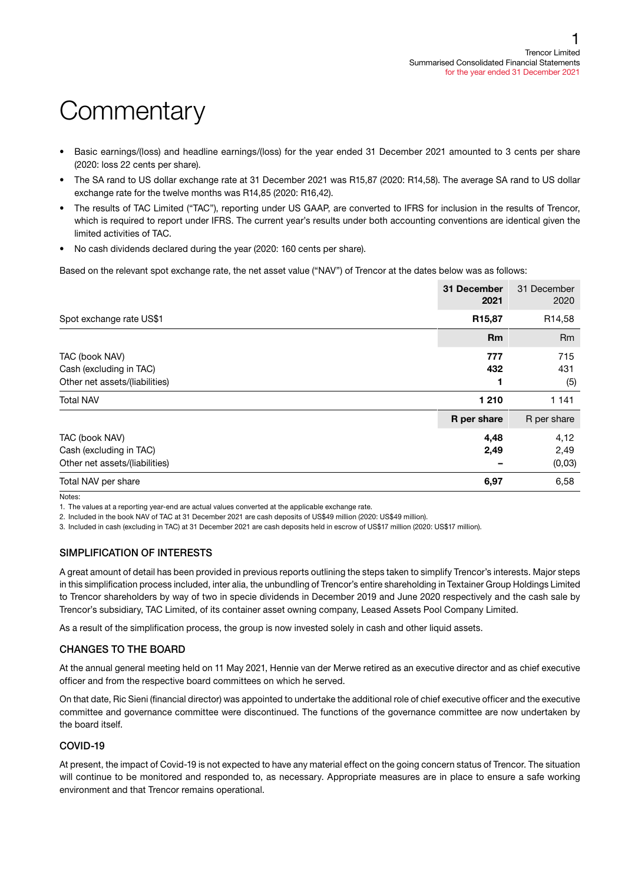# **Commentary**

- Basic earnings/(loss) and headline earnings/(loss) for the year ended 31 December 2021 amounted to 3 cents per share (2020: loss 22 cents per share).
- The SA rand to US dollar exchange rate at 31 December 2021 was R15,87 (2020: R14,58). The average SA rand to US dollar exchange rate for the twelve months was R14,85 (2020: R16,42).
- The results of TAC Limited ("TAC"), reporting under US GAAP, are converted to IFRS for inclusion in the results of Trencor, which is required to report under IFRS. The current year's results under both accounting conventions are identical given the limited activities of TAC.
- No cash dividends declared during the year (2020: 160 cents per share).

Based on the relevant spot exchange rate, the net asset value ("NAV") of Trencor at the dates below was as follows:

|                                                                             | 31 December<br>2021 | 31 December<br>2020     |
|-----------------------------------------------------------------------------|---------------------|-------------------------|
| Spot exchange rate US\$1                                                    | R <sub>15</sub> ,87 | R <sub>14,58</sub>      |
|                                                                             | <b>Rm</b>           | Rm                      |
| TAC (book NAV)<br>Cash (excluding in TAC)<br>Other net assets/(liabilities) | 777<br>432          | 715<br>431<br>(5)       |
| <b>Total NAV</b>                                                            | 1 2 1 0             | 1 1 4 1                 |
|                                                                             | R per share         | R per share             |
| TAC (book NAV)<br>Cash (excluding in TAC)<br>Other net assets/(liabilities) | 4,48<br>2,49        | 4,12<br>2,49<br>(0, 03) |
| Total NAV per share                                                         | 6,97                | 6,58                    |

Notes:

1. The values at a reporting year-end are actual values converted at the applicable exchange rate.

2. Included in the book NAV of TAC at 31 December 2021 are cash deposits of US\$49 million (2020: US\$49 million).

3. Included in cash (excluding in TAC) at 31 December 2021 are cash deposits held in escrow of US\$17 million (2020: US\$17 million).

#### SIMPLIFICATION OF INTERESTS

A great amount of detail has been provided in previous reports outlining the steps taken to simplify Trencor's interests. Major steps in this simplification process included, inter alia, the unbundling of Trencor's entire shareholding in Textainer Group Holdings Limited to Trencor shareholders by way of two in specie dividends in December 2019 and June 2020 respectively and the cash sale by Trencor's subsidiary, TAC Limited, of its container asset owning company, Leased Assets Pool Company Limited.

As a result of the simplification process, the group is now invested solely in cash and other liquid assets.

#### CHANGES TO THE BOARD

At the annual general meeting held on 11 May 2021, Hennie van der Merwe retired as an executive director and as chief executive officer and from the respective board committees on which he served.

On that date, Ric Sieni (financial director) was appointed to undertake the additional role of chief executive officer and the executive committee and governance committee were discontinued. The functions of the governance committee are now undertaken by the board itself.

#### COVID-19

At present, the impact of Covid-19 is not expected to have any material effect on the going concern status of Trencor. The situation will continue to be monitored and responded to, as necessary. Appropriate measures are in place to ensure a safe working environment and that Trencor remains operational.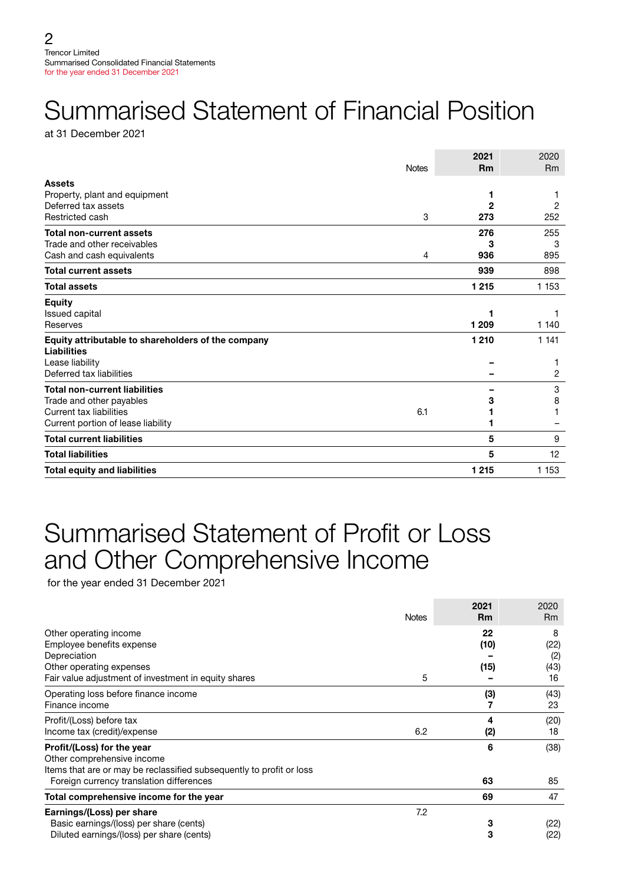# Summarised Statement of Financial Position

at 31 December 2021

|                                                    |              | 2021      | 2020           |
|----------------------------------------------------|--------------|-----------|----------------|
|                                                    | <b>Notes</b> | <b>Rm</b> | R <sub>m</sub> |
| <b>Assets</b>                                      |              |           |                |
| Property, plant and equipment                      |              | 1         |                |
| Deferred tax assets                                |              | 2         | 2              |
| Restricted cash                                    | 3            | 273       | 252            |
| <b>Total non-current assets</b>                    |              | 276       | 255            |
| Trade and other receivables                        |              | 3         | 3              |
| Cash and cash equivalents                          | 4            | 936       | 895            |
| <b>Total current assets</b>                        |              | 939       | 898            |
| <b>Total assets</b>                                |              | 1 2 1 5   | 1 1 5 3        |
| <b>Equity</b>                                      |              |           |                |
| <b>Issued capital</b>                              |              |           |                |
| Reserves                                           |              | 1 209     | 1 140          |
| Equity attributable to shareholders of the company |              | 1 2 1 0   | 1 1 4 1        |
| <b>Liabilities</b>                                 |              |           |                |
| Lease liability                                    |              |           |                |
| Deferred tax liabilities                           |              |           | 2              |
| <b>Total non-current liabilities</b>               |              |           | 3              |
| Trade and other payables                           |              | 3         | 8              |
| Current tax liabilities                            | 6.1          |           |                |
| Current portion of lease liability                 |              |           |                |
| <b>Total current liabilities</b>                   |              | 5         | 9              |
| <b>Total liabilities</b>                           |              | 5         | 12             |
| <b>Total equity and liabilities</b>                |              | 1 2 1 5   | 1 1 5 3        |

### Summarised Statement of Profit or Loss and Other Comprehensive Income

for the year ended 31 December 2021

|                                                                                                                                                                              | <b>Notes</b> | 2021<br><b>Rm</b>  | 2020<br><b>Rm</b>        |
|------------------------------------------------------------------------------------------------------------------------------------------------------------------------------|--------------|--------------------|--------------------------|
| Other operating income<br>Employee benefits expense<br>Depreciation<br>Other operating expenses                                                                              |              | 22<br>(10)<br>(15) | 8<br>(22)<br>(2)<br>(43) |
| Fair value adjustment of investment in equity shares                                                                                                                         | 5            |                    | 16                       |
| Operating loss before finance income<br>Finance income                                                                                                                       |              | (3)                | (43)<br>23               |
| Profit/(Loss) before tax<br>Income tax (credit)/expense                                                                                                                      | 6.2          | 4<br>(2)           | (20)<br>18               |
| Profit/(Loss) for the year<br>Other comprehensive income<br>Items that are or may be reclassified subsequently to profit or loss<br>Foreign currency translation differences |              | 6<br>63            | (38)<br>85               |
| Total comprehensive income for the year                                                                                                                                      |              | 69                 | 47                       |
| Earnings/(Loss) per share<br>Basic earnings/(loss) per share (cents)<br>Diluted earnings/(loss) per share (cents)                                                            | 7.2          | 3<br>3             | (22)<br>(22)             |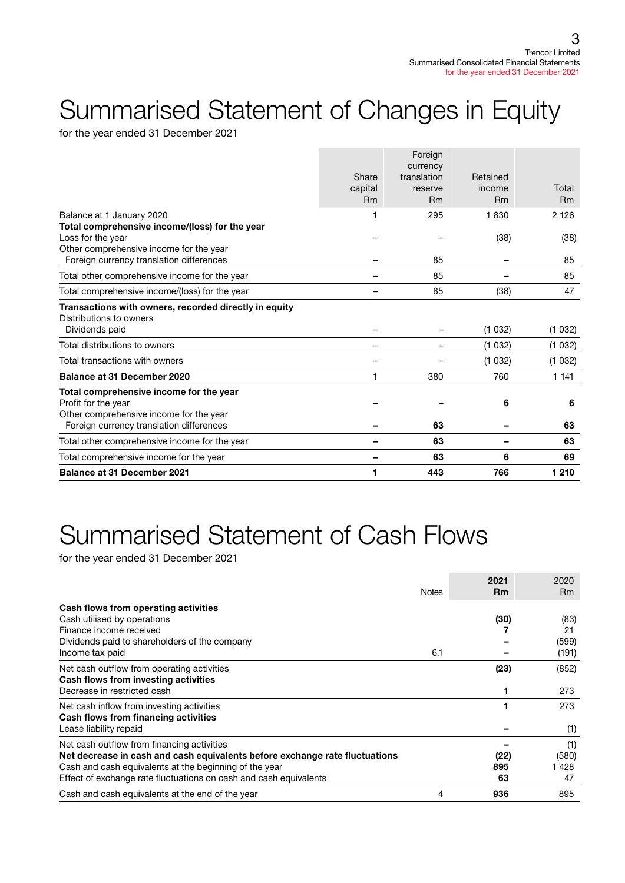# Summarised Statement of Changes in Equity

for the year ended 31 December 2021

|                                                       |                          | Foreign                 |           |         |
|-------------------------------------------------------|--------------------------|-------------------------|-----------|---------|
|                                                       | Share                    | currency<br>translation | Retained  |         |
|                                                       | capital                  | reserve                 | income    | Total   |
|                                                       | <b>Rm</b>                | <b>Rm</b>               | <b>Rm</b> | Rm      |
| Balance at 1 January 2020                             |                          | 295                     | 1830      | 2 1 2 6 |
| Total comprehensive income/(loss) for the year        |                          |                         |           |         |
| Loss for the year                                     |                          |                         | (38)      | (38)    |
| Other comprehensive income for the year               |                          |                         |           |         |
| Foreign currency translation differences              |                          | 85                      |           | 85      |
| Total other comprehensive income for the year         |                          | 85                      |           | 85      |
| Total comprehensive income/(loss) for the year        |                          | 85                      | (38)      | 47      |
| Transactions with owners, recorded directly in equity |                          |                         |           |         |
| Distributions to owners                               |                          |                         |           |         |
| Dividends paid                                        |                          |                         | (1032)    | (1032)  |
| Total distributions to owners                         | $\overline{\phantom{0}}$ | -                       | (1032)    | (1032)  |
| Total transactions with owners                        |                          |                         | (1032)    | (1032)  |
| <b>Balance at 31 December 2020</b>                    |                          | 380                     | 760       | 1 1 4 1 |
| Total comprehensive income for the year               |                          |                         |           |         |
| Profit for the year                                   |                          |                         | 6         | 6       |
| Other comprehensive income for the year               |                          |                         |           |         |
| Foreign currency translation differences              |                          | 63                      |           | 63      |
| Total other comprehensive income for the year         |                          | 63                      |           | 63      |
| Total comprehensive income for the year               |                          | 63                      | 6         | 69      |
| <b>Balance at 31 December 2021</b>                    | 1                        | 443                     | 766       | 1 2 1 0 |

# Summarised Statement of Cash Flows

for the year ended 31 December 2021

|                                                                             | <b>Notes</b> | 2021<br><b>Rm</b> | 2020<br>Rm |
|-----------------------------------------------------------------------------|--------------|-------------------|------------|
| Cash flows from operating activities                                        |              |                   |            |
| Cash utilised by operations                                                 |              | (30)              | (83)       |
| Finance income received                                                     |              |                   | 21         |
| Dividends paid to shareholders of the company                               |              |                   | (599)      |
| Income tax paid                                                             | 6.1          |                   | (191)      |
| Net cash outflow from operating activities                                  |              | (23)              | (852)      |
| Cash flows from investing activities                                        |              |                   |            |
| Decrease in restricted cash                                                 |              |                   | 273        |
| Net cash inflow from investing activities                                   |              |                   | 273        |
| Cash flows from financing activities                                        |              |                   |            |
| Lease liability repaid                                                      |              |                   | (1)        |
| Net cash outflow from financing activities                                  |              |                   | (1)        |
| Net decrease in cash and cash equivalents before exchange rate fluctuations |              | (22)              | (580)      |
| Cash and cash equivalents at the beginning of the year                      |              | 895               | 1428       |
| Effect of exchange rate fluctuations on cash and cash equivalents           |              | 63                | 47         |
| Cash and cash equivalents at the end of the year                            | 4            | 936               | 895        |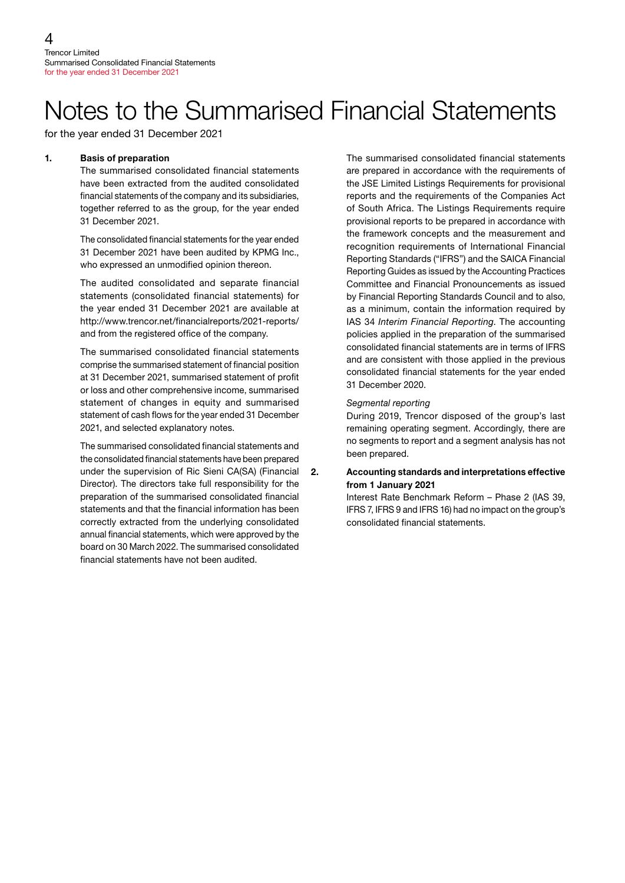### Notes to the Summarised Financial Statements

for the year ended 31 December 2021

#### 1. Basis of preparation

The summarised consolidated financial statements have been extracted from the audited consolidated financial statements of the company and its subsidiaries, together referred to as the group, for the year ended 31 December 2021.

The consolidated financial statements for the year ended 31 December 2021 have been audited by KPMG Inc., who expressed an unmodified opinion thereon.

The audited consolidated and separate financial statements (consolidated financial statements) for the year ended 31 December 2021 are available at http://www.trencor.net/financialreports/2021-reports/ and from the registered office of the company.

The summarised consolidated financial statements comprise the summarised statement of financial position at 31 December 2021, summarised statement of profit or loss and other comprehensive income, summarised statement of changes in equity and summarised statement of cash flows for the year ended 31 December 2021, and selected explanatory notes.

The summarised consolidated financial statements and the consolidated financial statements have been prepared under the supervision of Ric Sieni CA(SA) (Financial Director). The directors take full responsibility for the preparation of the summarised consolidated financial statements and that the financial information has been correctly extracted from the underlying consolidated annual financial statements, which were approved by the board on 30 March 2022. The summarised consolidated financial statements have not been audited.

The summarised consolidated financial statements are prepared in accordance with the requirements of the JSE Limited Listings Requirements for provisional reports and the requirements of the Companies Act of South Africa. The Listings Requirements require provisional reports to be prepared in accordance with the framework concepts and the measurement and recognition requirements of International Financial Reporting Standards ("IFRS") and the SAICA Financial Reporting Guides as issued by the Accounting Practices Committee and Financial Pronouncements as issued by Financial Reporting Standards Council and to also, as a minimum, contain the information required by IAS 34 *Interim Financial Reporting*. The accounting policies applied in the preparation of the summarised consolidated financial statements are in terms of IFRS and are consistent with those applied in the previous consolidated financial statements for the year ended 31 December 2020.

#### *Segmental reporting*

During 2019, Trencor disposed of the group's last remaining operating segment. Accordingly, there are no segments to report and a segment analysis has not been prepared.

#### 2. Accounting standards and interpretations effective from 1 January 2021

Interest Rate Benchmark Reform – Phase 2 (IAS 39, IFRS 7, IFRS 9 and IFRS 16) had no impact on the group's consolidated financial statements.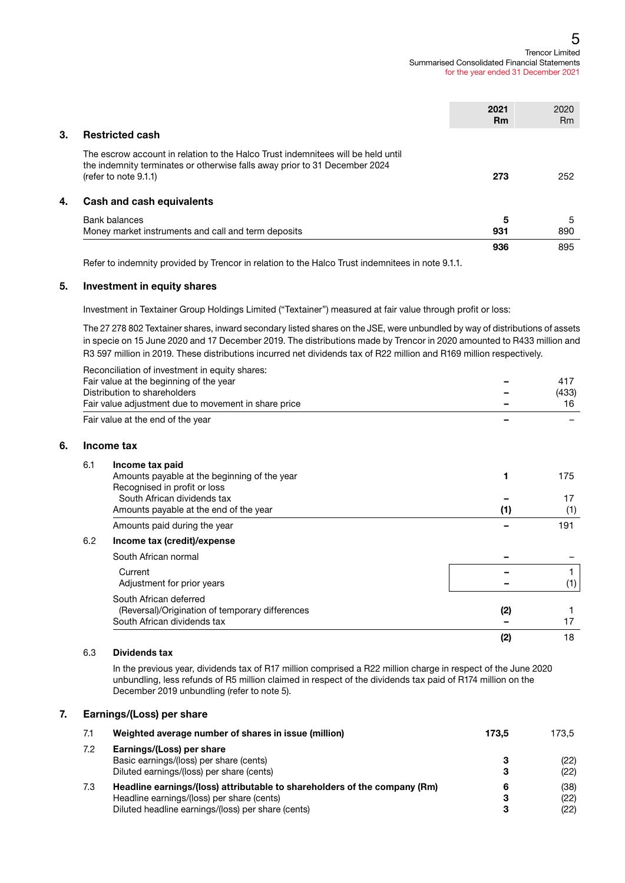#### Trencor Limited Summarised Consolidated Financial Statements for the year ended 31 December 2021 5

|    |                                                                                                                                                                                            | 2021<br><b>Rm</b> | 2020<br>R <sub>m</sub> |
|----|--------------------------------------------------------------------------------------------------------------------------------------------------------------------------------------------|-------------------|------------------------|
| 3. | <b>Restricted cash</b>                                                                                                                                                                     |                   |                        |
|    | The escrow account in relation to the Halco Trust indemnitees will be held until<br>the indemnity terminates or otherwise falls away prior to 31 December 2024<br>(refer to note $9.1.1$ ) | 273               | 252                    |
| 4. | Cash and cash equivalents                                                                                                                                                                  |                   |                        |
|    | Bank balances<br>Money market instruments and call and term deposits                                                                                                                       | 5<br>931          | 5<br>890               |
|    |                                                                                                                                                                                            | 936               | 895                    |

Refer to indemnity provided by Trencor in relation to the Halco Trust indemnitees in note 9.1.1.

#### 5. Investment in equity shares

Investment in Textainer Group Holdings Limited ("Textainer") measured at fair value through profit or loss:

The 27 278 802 Textainer shares, inward secondary listed shares on the JSE, were unbundled by way of distributions of assets in specie on 15 June 2020 and 17 December 2019. The distributions made by Trencor in 2020 amounted to R433 million and R3 597 million in 2019. These distributions incurred net dividends tax of R22 million and R169 million respectively.

|     | Reconciliation of investment in equity shares:       |     |       |
|-----|------------------------------------------------------|-----|-------|
|     | Fair value at the beginning of the year              |     | 417   |
|     | Distribution to shareholders                         |     | (433) |
|     | Fair value adjustment due to movement in share price |     | 16    |
|     | Fair value at the end of the year                    |     |       |
|     | Income tax                                           |     |       |
| 6.1 | Income tax paid                                      |     |       |
|     | Amounts payable at the beginning of the year         | 1   | 175   |
|     | Recognised in profit or loss                         |     |       |
|     | South African dividends tax                          |     | 17    |
|     | Amounts payable at the end of the year               | (1) | (1)   |
|     | Amounts paid during the year                         |     | 191   |
| 6.2 | Income tax (credit)/expense                          |     |       |
|     | South African normal                                 |     |       |
|     | Current                                              |     |       |
|     | Adjustment for prior years                           |     | (1)   |
|     | South African deferred                               |     |       |
|     | (Reversal)/Origination of temporary differences      | (2) |       |
|     | South African dividends tax                          |     | 17    |
|     |                                                      | (2) | 18    |

#### 6.3 Dividends tax

 $6.$ 

In the previous year, dividends tax of R17 million comprised a R22 million charge in respect of the June 2020 unbundling, less refunds of R5 million claimed in respect of the dividends tax paid of R174 million on the December 2019 unbundling (refer to note 5).

#### 7. Earnings/(Loss) per share

| 7.1 | Weighted average number of shares in issue (million)                                                                                                                          | 173.5       | 173.5                |
|-----|-------------------------------------------------------------------------------------------------------------------------------------------------------------------------------|-------------|----------------------|
| 7.2 | Earnings/(Loss) per share<br>Basic earnings/(loss) per share (cents)<br>Diluted earnings/(loss) per share (cents)                                                             | з<br>3      | (22)<br>(22)         |
| 7.3 | Headline earnings/(loss) attributable to shareholders of the company (Rm)<br>Headline earnings/(loss) per share (cents)<br>Diluted headline earnings/(loss) per share (cents) | 6<br>з<br>3 | (38)<br>(22)<br>(22) |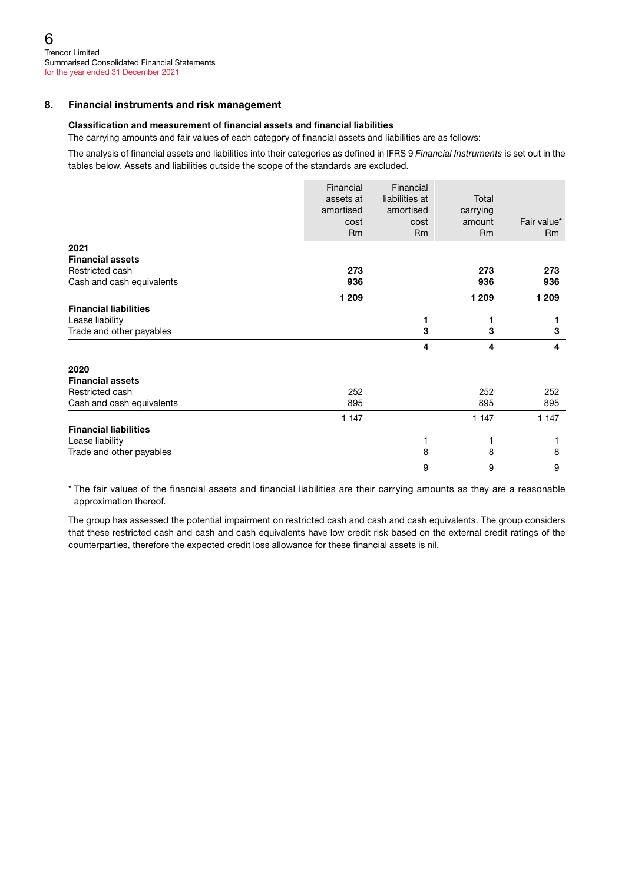#### 8. Financial instruments and risk management

#### Classification and measurement of financial assets and financial liabilities

The carrying amounts and fair values of each category of financial assets and liabilities are as follows:

The analysis of financial assets and liabilities into their categories as defined in IFRS 9 *Financial Instruments* is set out in the tables below. Assets and liabilities outside the scope of the standards are excluded.

|                              | Financial<br>assets at<br>amortised | Financial<br>liabilities at<br>amortised | Total<br>carrying   | Fair value* |
|------------------------------|-------------------------------------|------------------------------------------|---------------------|-------------|
|                              | cost<br>R <sub>m</sub>              | cost<br><b>Rm</b>                        | amount<br><b>Rm</b> | <b>Rm</b>   |
| 2021                         |                                     |                                          |                     |             |
| <b>Financial assets</b>      |                                     |                                          |                     |             |
| Restricted cash              | 273                                 |                                          | 273                 | 273         |
| Cash and cash equivalents    | 936                                 |                                          | 936                 | 936         |
|                              | 1 209                               |                                          | 1 209               | 1 2 0 9     |
| <b>Financial liabilities</b> |                                     |                                          |                     |             |
| Lease liability              |                                     | 1                                        | 1                   |             |
| Trade and other payables     |                                     | 3                                        | 3                   | 3           |
|                              |                                     | 4                                        | 4                   | 4           |
| 2020                         |                                     |                                          |                     |             |
| <b>Financial assets</b>      |                                     |                                          |                     |             |
| Restricted cash              | 252                                 |                                          | 252                 | 252         |
| Cash and cash equivalents    | 895                                 |                                          | 895                 | 895         |
|                              | 1 1 4 7                             |                                          | 1 1 4 7             | 1 1 4 7     |
| <b>Financial liabilities</b> |                                     |                                          |                     |             |
| Lease liability              |                                     |                                          |                     |             |
| Trade and other payables     |                                     | 8                                        | 8                   | 8           |
|                              |                                     | 9                                        | 9                   | 9           |

\* The fair values of the financial assets and financial liabilities are their carrying amounts as they are a reasonable approximation thereof.

The group has assessed the potential impairment on restricted cash and cash and cash equivalents. The group considers that these restricted cash and cash and cash equivalents have low credit risk based on the external credit ratings of the counterparties, therefore the expected credit loss allowance for these financial assets is nil.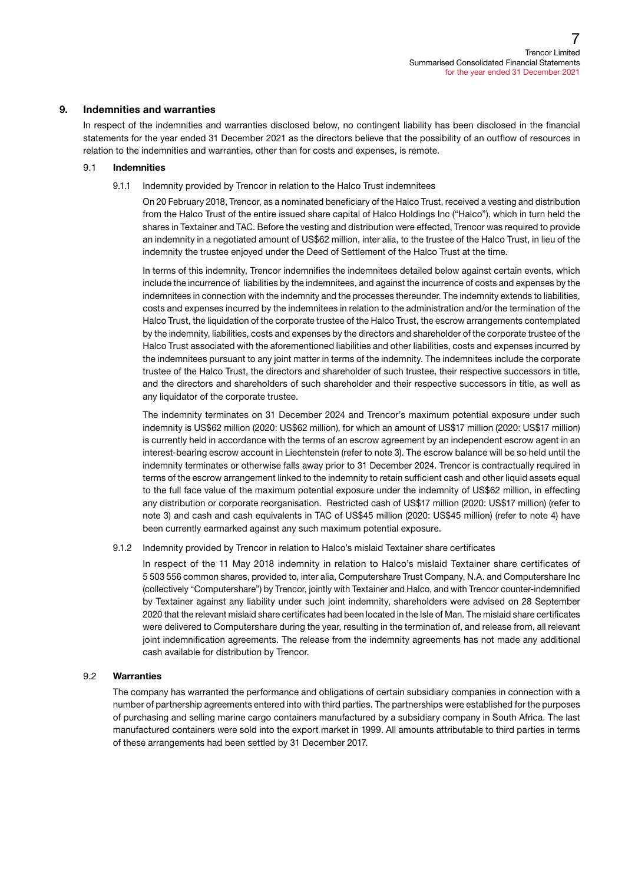#### 9. Indemnities and warranties

In respect of the indemnities and warranties disclosed below, no contingent liability has been disclosed in the financial statements for the year ended 31 December 2021 as the directors believe that the possibility of an outflow of resources in relation to the indemnities and warranties, other than for costs and expenses, is remote.

#### 9.1 Indemnities

9.1.1 Indemnity provided by Trencor in relation to the Halco Trust indemnitees

On 20 February 2018, Trencor, as a nominated beneficiary of the Halco Trust, received a vesting and distribution from the Halco Trust of the entire issued share capital of Halco Holdings Inc ("Halco"), which in turn held the shares in Textainer and TAC. Before the vesting and distribution were effected, Trencor was required to provide an indemnity in a negotiated amount of US\$62 million, inter alia, to the trustee of the Halco Trust, in lieu of the indemnity the trustee enjoyed under the Deed of Settlement of the Halco Trust at the time.

In terms of this indemnity, Trencor indemnifies the indemnitees detailed below against certain events, which include the incurrence of liabilities by the indemnitees, and against the incurrence of costs and expenses by the indemnitees in connection with the indemnity and the processes thereunder. The indemnity extends to liabilities, costs and expenses incurred by the indemnitees in relation to the administration and/or the termination of the Halco Trust, the liquidation of the corporate trustee of the Halco Trust, the escrow arrangements contemplated by the indemnity, liabilities, costs and expenses by the directors and shareholder of the corporate trustee of the Halco Trust associated with the aforementioned liabilities and other liabilities, costs and expenses incurred by the indemnitees pursuant to any joint matter in terms of the indemnity. The indemnitees include the corporate trustee of the Halco Trust, the directors and shareholder of such trustee, their respective successors in title, and the directors and shareholders of such shareholder and their respective successors in title, as well as any liquidator of the corporate trustee.

The indemnity terminates on 31 December 2024 and Trencor's maximum potential exposure under such indemnity is US\$62 million (2020: US\$62 million), for which an amount of US\$17 million (2020: US\$17 million) is currently held in accordance with the terms of an escrow agreement by an independent escrow agent in an interest-bearing escrow account in Liechtenstein (refer to note 3). The escrow balance will be so held until the indemnity terminates or otherwise falls away prior to 31 December 2024. Trencor is contractually required in terms of the escrow arrangement linked to the indemnity to retain sufficient cash and other liquid assets equal to the full face value of the maximum potential exposure under the indemnity of US\$62 million, in effecting any distribution or corporate reorganisation. Restricted cash of US\$17 million (2020: US\$17 million) (refer to note 3) and cash and cash equivalents in TAC of US\$45 million (2020: US\$45 million) (refer to note 4) have been currently earmarked against any such maximum potential exposure.

9.1.2 Indemnity provided by Trencor in relation to Halco's mislaid Textainer share certificates

In respect of the 11 May 2018 indemnity in relation to Halco's mislaid Textainer share certificates of 5 503 556 common shares, provided to, inter alia, Computershare Trust Company, N.A. and Computershare Inc (collectively "Computershare") by Trencor, jointly with Textainer and Halco, and with Trencor counter-indemnified by Textainer against any liability under such joint indemnity, shareholders were advised on 28 September 2020 that the relevant mislaid share certificates had been located in the Isle of Man. The mislaid share certificates were delivered to Computershare during the year, resulting in the termination of, and release from, all relevant joint indemnification agreements. The release from the indemnity agreements has not made any additional cash available for distribution by Trencor.

#### 9.2 Warranties

The company has warranted the performance and obligations of certain subsidiary companies in connection with a number of partnership agreements entered into with third parties. The partnerships were established for the purposes of purchasing and selling marine cargo containers manufactured by a subsidiary company in South Africa. The last manufactured containers were sold into the export market in 1999. All amounts attributable to third parties in terms of these arrangements had been settled by 31 December 2017.